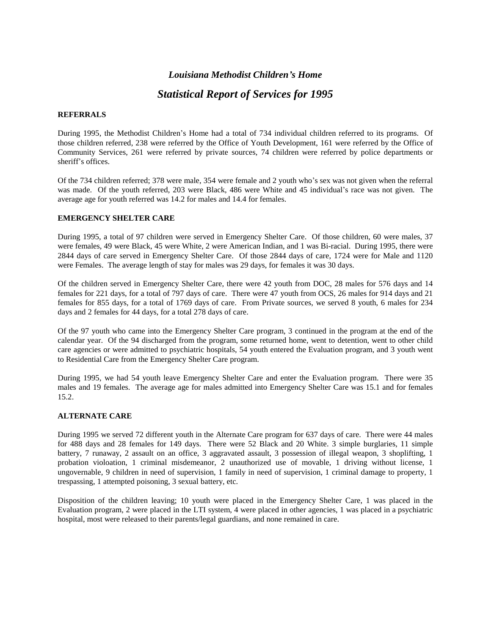# *Louisiana Methodist Childrenís Home*

# *Statistical Report of Services for 1995*

### **REFERRALS**

During 1995, the Methodist Children's Home had a total of 734 individual children referred to its programs. Of those children referred, 238 were referred by the Office of Youth Development, 161 were referred by the Office of Community Services, 261 were referred by private sources, 74 children were referred by police departments or sheriff's offices.

Of the 734 children referred; 378 were male, 354 were female and 2 youth who's sex was not given when the referral was made. Of the youth referred, 203 were Black, 486 were White and 45 individual's race was not given. The average age for youth referred was 14.2 for males and 14.4 for females.

# **EMERGENCY SHELTER CARE**

During 1995, a total of 97 children were served in Emergency Shelter Care. Of those children, 60 were males, 37 were females, 49 were Black, 45 were White, 2 were American Indian, and 1 was Bi-racial. During 1995, there were 2844 days of care served in Emergency Shelter Care. Of those 2844 days of care, 1724 were for Male and 1120 were Females. The average length of stay for males was 29 days, for females itwas 30 days.

Of the children served in Emergency Shelter Care, there were 42 youth from DOC, 28 males for 576 days and 14 females for 221 days, for a total of 797 days of care. There were 47 youth from OCS, 26 males for 914 days and 21 females for 855 days, for a total of 1769 days of care. From Private sources, we served 8 youth, 6 males for 234 days and 2 females for 44 days, for a total 278 days of care.

Of the 97 youth who came into the Emergency Shelter Care program, 3 continued in the program at the end of the calendar year. Of the 94 discharged from the program, some returned home, went to detention, went to other child care agencies or were admitted to psychiatric hospitals, 54 youth entered the Evaluation program, and 3 youth went to Residential Care from the Emergency Shelter Care program.

During 1995, we had 54 youth leave Emergency Shelter Care and enter the Evaluation program. There were 35 males and 19 females. The average age for males admitted into Emergency Shelter Care was 15.1 and for females 15.2.

# **ALTERNATE CARE**

During 1995 we served 72 different youth in the Alternate Care program for 637 days of care. There were 44 males for 488 days and 28 females for 149 days. There were 52 Black and 20 White. 3 simple burglaries, 11 simple battery, 7 runaway, 2 assault on an office, 3 aggravated assault, 3 possession of illegal weapon, 3 shoplifting, 1 probation violoation, 1 criminal misdemeanor, 2 unauthorized use of movable, 1 driving without license, 1 ungovernable, 9 children in need of supervision, 1 family in need of supervision, 1 criminal damage to property, 1 trespassing, 1 attempted poisoning, 3 sexual battery, etc.

Disposition of the children leaving; 10 youth were placed in the Emergency Shelter Care, 1 was placed in the Evaluation program, 2 were placed in the LTI system, 4 were placed in other agencies, 1 was placed in a psychiatric hospital, most were released to their parents/legal guardians, and none remained in care.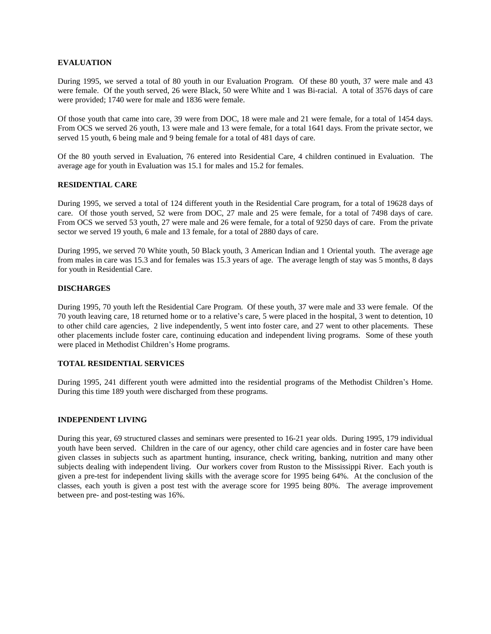#### **EVALUATION**

During 1995, we served a total of 80 youth in our Evaluation Program. Of these 80 youth, 37 were male and 43 were female. Of the youth served, 26 were Black, 50 were White and 1 was Bi-racial. A total of 3576 days of care were provided; 1740 were for male and 1836 were female.

Of those youth that came into care, 39 were from DOC, 18 were male and 21 were female, for a total of 1454 days. From OCS we served 26 youth, 13 were male and 13 were female, for a total 1641 days. From the private sector, we served 15 youth, 6 being male and 9 being female for a total of 481 days of care.

Of the 80 youth served in Evaluation, 76 entered into Residential Care, 4 children continued in Evaluation. The average age for youth in Evaluation was 15.1 for males and 15.2 for females.

### **RESIDENTIAL CARE**

During 1995, we served a total of 124 different youth in the Residential Care program, for a total of 19628 days of care. Of those youth served, 52 were from DOC, 27 male and 25 were female, for a total of 7498 days of care. From OCS we served 53 youth, 27 were male and 26 were female, for a total of 9250 days of care. From the private sector we served 19 youth, 6 male and 13 female, for a total of 2880 days of care.

During 1995, we served 70 White youth, 50 Black youth, 3 American Indian and 1 Oriental youth. The average age from males in care was 15.3 and for females was 15.3 years of age. The average length of stay was 5 months, 8 days for youth in Residential Care.

### **DISCHARGES**

During 1995, 70 youth leftthe Residential Care Program. Of these youth, 37 were male and 33 were female. Of the 70 youth leaving care, 18 returned home or to a relative's care, 5 were placed in the hospital, 3 went to detention, 10 to other child care agencies, 2 live independently, 5 went into foster care, and 27 went to other placements. These other placements include foster care, continuing education and independent living programs. Some of these youth were placed in Methodist Children's Home programs.

#### **TOTAL RESIDENTIAL SERVICES**

During 1995, 241 different youth were admitted into the residential programs of the Methodist Children's Home. During this time 189 youth were discharged from these programs.

#### **INDEPENDENT LIVING**

During this year, 69 structured classes and seminars were presented to 16-21 year olds. During 1995, 179 individual youth have been served. Children in the care of our agency, other child care agencies and in foster care have been given classes in subjects such as apartment hunting, insurance, check writing, banking, nutrition and many other subjects dealing with independent living. Our workers cover from Ruston to the Mississippi River. Each youth is given a pre-test for independent living skills with the average score for 1995 being 64%. At the conclusion of the classes, each youth is given a post test with the average score for 1995 being 80%. The average improvement between pre- and post-testing was 16%.